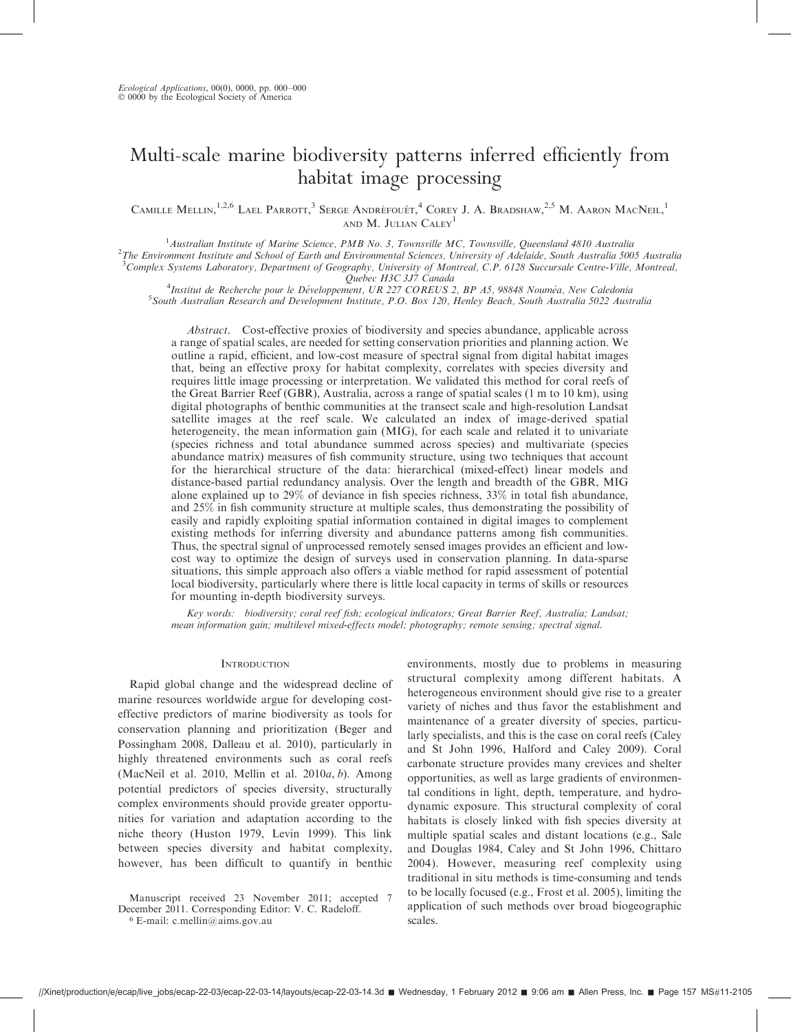# Multi-scale marine biodiversity patterns inferred efficiently from habitat image processing

CAMILLE MELLIN,<sup>1,2,6</sup> LAEL PARROTT,<sup>3</sup> SERGE ANDRÉFOUËT,<sup>4</sup> COREY J. A. BRADSHAW,<sup>2,5</sup> M. AARON MACNEIL,<sup>1</sup> AND M. JULIAN CALEY<sup>1</sup>

<sup>1</sup>Australian Institute of Marine Science, PMB No. 3, Townsville MC, Townsville, Queensland 4810 Australia <sup>1</sup> Australian Institute of Marine Science, PMB No. 3, Townsville MC, Townsville, Queensland 4810 Australia<br>The Environment Institute and School of Earth and Environmental Sciences, University of Adelaide, South Australia <sup>3</sup>Complex Systems Laboratory, Department of Geography, University of Montreal, C.P. 6128 Succursale Centre-Ville, Montreal,

Quebec H3C 3J7 Canada<br><sup>4</sup> Institut de Becherche pour le Développement, UP 227 COREUS <sup>4</sup>Institut de Recherche pour le Développement, UR 227 COREUS 2, BP A5, 98848 Nouméa, New Caledonia<sup>5</sup> South Australian Basearch and Development Institute, B.O., Box 120, Hepley Baach, South Australia 5022 Aust South Australian Research and Development Institute, P.O. Box 120, Henley Beach, South Australia 5022 Australia

Abstract. Cost-effective proxies of biodiversity and species abundance, applicable across a range of spatial scales, are needed for setting conservation priorities and planning action. We outline a rapid, efficient, and low-cost measure of spectral signal from digital habitat images that, being an effective proxy for habitat complexity, correlates with species diversity and requires little image processing or interpretation. We validated this method for coral reefs of the Great Barrier Reef (GBR), Australia, across a range of spatial scales (1 m to 10 km), using digital photographs of benthic communities at the transect scale and high-resolution Landsat satellite images at the reef scale. We calculated an index of image-derived spatial heterogeneity, the mean information gain (MIG), for each scale and related it to univariate (species richness and total abundance summed across species) and multivariate (species abundance matrix) measures of fish community structure, using two techniques that account for the hierarchical structure of the data: hierarchical (mixed-effect) linear models and distance-based partial redundancy analysis. Over the length and breadth of the GBR, MIG alone explained up to 29% of deviance in fish species richness, 33% in total fish abundance, and 25% in fish community structure at multiple scales, thus demonstrating the possibility of easily and rapidly exploiting spatial information contained in digital images to complement existing methods for inferring diversity and abundance patterns among fish communities. Thus, the spectral signal of unprocessed remotely sensed images provides an efficient and lowcost way to optimize the design of surveys used in conservation planning. In data-sparse situations, this simple approach also offers a viable method for rapid assessment of potential local biodiversity, particularly where there is little local capacity in terms of skills or resources for mounting in-depth biodiversity surveys.

Key words: biodiversity; coral reef fish; ecological indicators; Great Barrier Reef, Australia; Landsat; mean information gain; multilevel mixed-effects model; photography; remote sensing; spectral signal.

## **INTRODUCTION**

Rapid global change and the widespread decline of marine resources worldwide argue for developing costeffective predictors of marine biodiversity as tools for conservation planning and prioritization (Beger and Possingham 2008, Dalleau et al. 2010), particularly in highly threatened environments such as coral reefs (MacNeil et al. 2010, Mellin et al. 2010 $a$ ,  $b$ ). Among potential predictors of species diversity, structurally complex environments should provide greater opportunities for variation and adaptation according to the niche theory (Huston 1979, Levin 1999). This link between species diversity and habitat complexity, however, has been difficult to quantify in benthic

Manuscript received 23 November 2011; accepted 7 December 2011. Corresponding Editor: V. C. Radeloff. <sup>6</sup> E-mail: c.mellin@aims.gov.au

environments, mostly due to problems in measuring structural complexity among different habitats. A heterogeneous environment should give rise to a greater variety of niches and thus favor the establishment and maintenance of a greater diversity of species, particularly specialists, and this is the case on coral reefs (Caley and St John 1996, Halford and Caley 2009). Coral carbonate structure provides many crevices and shelter opportunities, as well as large gradients of environmental conditions in light, depth, temperature, and hydrodynamic exposure. This structural complexity of coral habitats is closely linked with fish species diversity at multiple spatial scales and distant locations (e.g., Sale and Douglas 1984, Caley and St John 1996, Chittaro 2004). However, measuring reef complexity using traditional in situ methods is time-consuming and tends to be locally focused (e.g., Frost et al. 2005), limiting the application of such methods over broad biogeographic scales.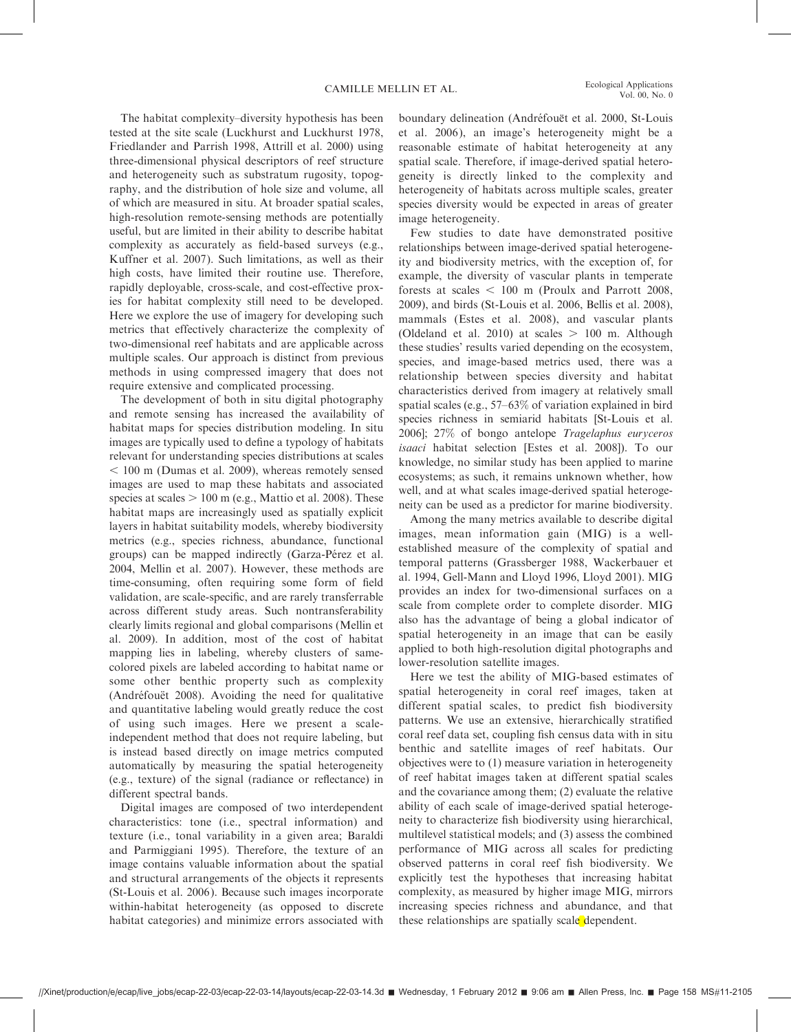The habitat complexity–diversity hypothesis has been tested at the site scale (Luckhurst and Luckhurst 1978, Friedlander and Parrish 1998, Attrill et al. 2000) using three-dimensional physical descriptors of reef structure and heterogeneity such as substratum rugosity, topography, and the distribution of hole size and volume, all of which are measured in situ. At broader spatial scales, high-resolution remote-sensing methods are potentially useful, but are limited in their ability to describe habitat complexity as accurately as field-based surveys (e.g., Kuffner et al. 2007). Such limitations, as well as their high costs, have limited their routine use. Therefore, rapidly deployable, cross-scale, and cost-effective proxies for habitat complexity still need to be developed. Here we explore the use of imagery for developing such metrics that effectively characterize the complexity of two-dimensional reef habitats and are applicable across multiple scales. Our approach is distinct from previous methods in using compressed imagery that does not require extensive and complicated processing.

The development of both in situ digital photography and remote sensing has increased the availability of habitat maps for species distribution modeling. In situ images are typically used to define a typology of habitats relevant for understanding species distributions at scales  $<$  100 m (Dumas et al. 2009), whereas remotely sensed images are used to map these habitats and associated species at scales  $> 100$  m (e.g., Mattio et al. 2008). These habitat maps are increasingly used as spatially explicit layers in habitat suitability models, whereby biodiversity metrics (e.g., species richness, abundance, functional groups) can be mapped indirectly (Garza-Pérez et al. 2004, Mellin et al. 2007). However, these methods are time-consuming, often requiring some form of field validation, are scale-specific, and are rarely transferrable across different study areas. Such nontransferability clearly limits regional and global comparisons (Mellin et al. 2009). In addition, most of the cost of habitat mapping lies in labeling, whereby clusters of samecolored pixels are labeled according to habitat name or some other benthic property such as complexity (Andréfouët 2008). Avoiding the need for qualitative and quantitative labeling would greatly reduce the cost of using such images. Here we present a scaleindependent method that does not require labeling, but is instead based directly on image metrics computed automatically by measuring the spatial heterogeneity (e.g., texture) of the signal (radiance or reflectance) in different spectral bands.

Digital images are composed of two interdependent characteristics: tone (i.e., spectral information) and texture (i.e., tonal variability in a given area; Baraldi and Parmiggiani 1995). Therefore, the texture of an image contains valuable information about the spatial and structural arrangements of the objects it represents (St-Louis et al. 2006). Because such images incorporate within-habitat heterogeneity (as opposed to discrete habitat categories) and minimize errors associated with boundary delineation (Andréfouët et al. 2000, St-Louis et al. 2006), an image's heterogeneity might be a reasonable estimate of habitat heterogeneity at any spatial scale. Therefore, if image-derived spatial heterogeneity is directly linked to the complexity and heterogeneity of habitats across multiple scales, greater species diversity would be expected in areas of greater image heterogeneity.

Few studies to date have demonstrated positive relationships between image-derived spatial heterogeneity and biodiversity metrics, with the exception of, for example, the diversity of vascular plants in temperate forests at scales  $<$  100 m (Proulx and Parrott 2008, 2009), and birds (St-Louis et al. 2006, Bellis et al. 2008), mammals (Estes et al. 2008), and vascular plants (Oldeland et al. 2010) at scales  $> 100$  m. Although these studies' results varied depending on the ecosystem, species, and image-based metrics used, there was a relationship between species diversity and habitat characteristics derived from imagery at relatively small spatial scales (e.g., 57–63% of variation explained in bird species richness in semiarid habitats [St-Louis et al. 2006]; 27% of bongo antelope Tragelaphus euryceros isaaci habitat selection [Estes et al. 2008]). To our knowledge, no similar study has been applied to marine ecosystems; as such, it remains unknown whether, how well, and at what scales image-derived spatial heterogeneity can be used as a predictor for marine biodiversity.

Among the many metrics available to describe digital images, mean information gain (MIG) is a wellestablished measure of the complexity of spatial and temporal patterns (Grassberger 1988, Wackerbauer et al. 1994, Gell-Mann and Lloyd 1996, Lloyd 2001). MIG provides an index for two-dimensional surfaces on a scale from complete order to complete disorder. MIG also has the advantage of being a global indicator of spatial heterogeneity in an image that can be easily applied to both high-resolution digital photographs and lower-resolution satellite images.

Here we test the ability of MIG-based estimates of spatial heterogeneity in coral reef images, taken at different spatial scales, to predict fish biodiversity patterns. We use an extensive, hierarchically stratified coral reef data set, coupling fish census data with in situ benthic and satellite images of reef habitats. Our objectives were to (1) measure variation in heterogeneity of reef habitat images taken at different spatial scales and the covariance among them; (2) evaluate the relative ability of each scale of image-derived spatial heterogeneity to characterize fish biodiversity using hierarchical, multilevel statistical models; and (3) assess the combined performance of MIG across all scales for predicting observed patterns in coral reef fish biodiversity. We explicitly test the hypotheses that increasing habitat complexity, as measured by higher image MIG, mirrors increasing species richness and abundance, and that these relationships are spatially scale dependent.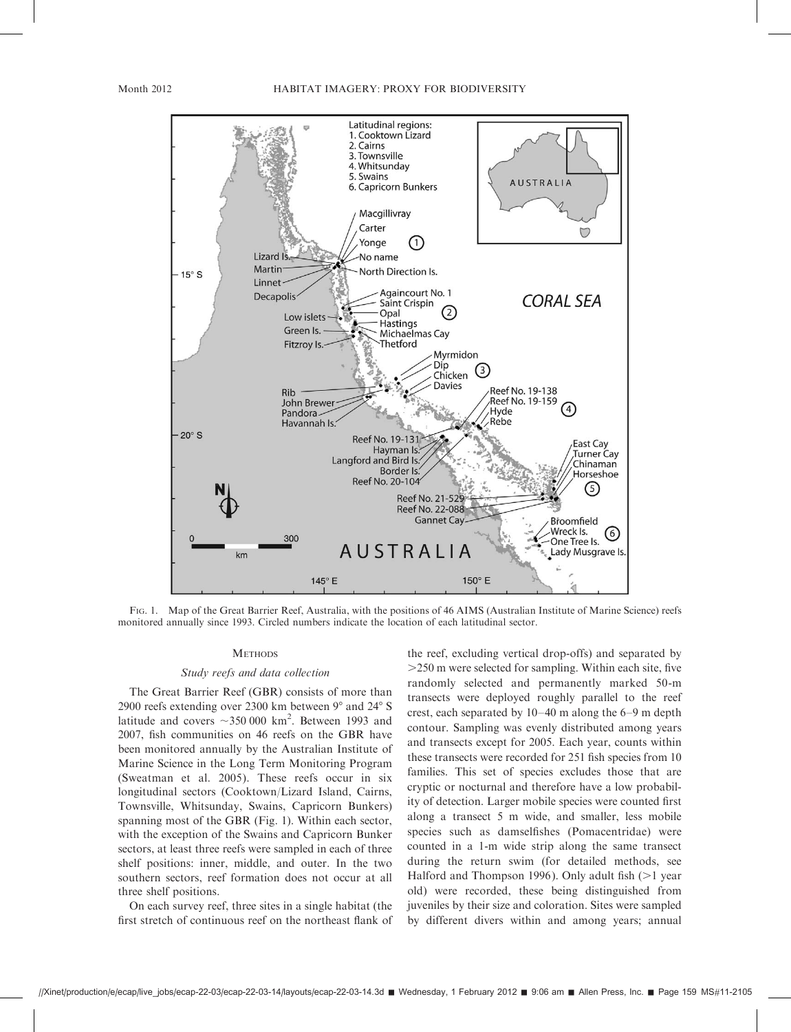

FIG. 1. Map of the Great Barrier Reef, Australia, with the positions of 46 AIMS (Australian Institute of Marine Science) reefs monitored annually since 1993. Circled numbers indicate the location of each latitudinal sector.

# **METHODS**

## Study reefs and data collection

The Great Barrier Reef (GBR) consists of more than 2900 reefs extending over 2300 km between  $9^{\circ}$  and  $24^{\circ}$  S latitude and covers  $\sim$ 350 000 km<sup>2</sup>. Between 1993 and 2007, fish communities on 46 reefs on the GBR have been monitored annually by the Australian Institute of Marine Science in the Long Term Monitoring Program (Sweatman et al. 2005). These reefs occur in six longitudinal sectors (Cooktown/Lizard Island, Cairns, Townsville, Whitsunday, Swains, Capricorn Bunkers) spanning most of the GBR (Fig. 1). Within each sector, with the exception of the Swains and Capricorn Bunker sectors, at least three reefs were sampled in each of three shelf positions: inner, middle, and outer. In the two southern sectors, reef formation does not occur at all three shelf positions.

On each survey reef, three sites in a single habitat (the first stretch of continuous reef on the northeast flank of

the reef, excluding vertical drop-offs) and separated by  $>$ 250 m were selected for sampling. Within each site, five randomly selected and permanently marked 50-m transects were deployed roughly parallel to the reef crest, each separated by 10–40 m along the 6–9 m depth contour. Sampling was evenly distributed among years and transects except for 2005. Each year, counts within these transects were recorded for 251 fish species from 10 families. This set of species excludes those that are cryptic or nocturnal and therefore have a low probability of detection. Larger mobile species were counted first along a transect 5 m wide, and smaller, less mobile species such as damselfishes (Pomacentridae) were counted in a 1-m wide strip along the same transect during the return swim (for detailed methods, see Halford and Thompson 1996). Only adult fish  $(>1$  year old) were recorded, these being distinguished from juveniles by their size and coloration. Sites were sampled by different divers within and among years; annual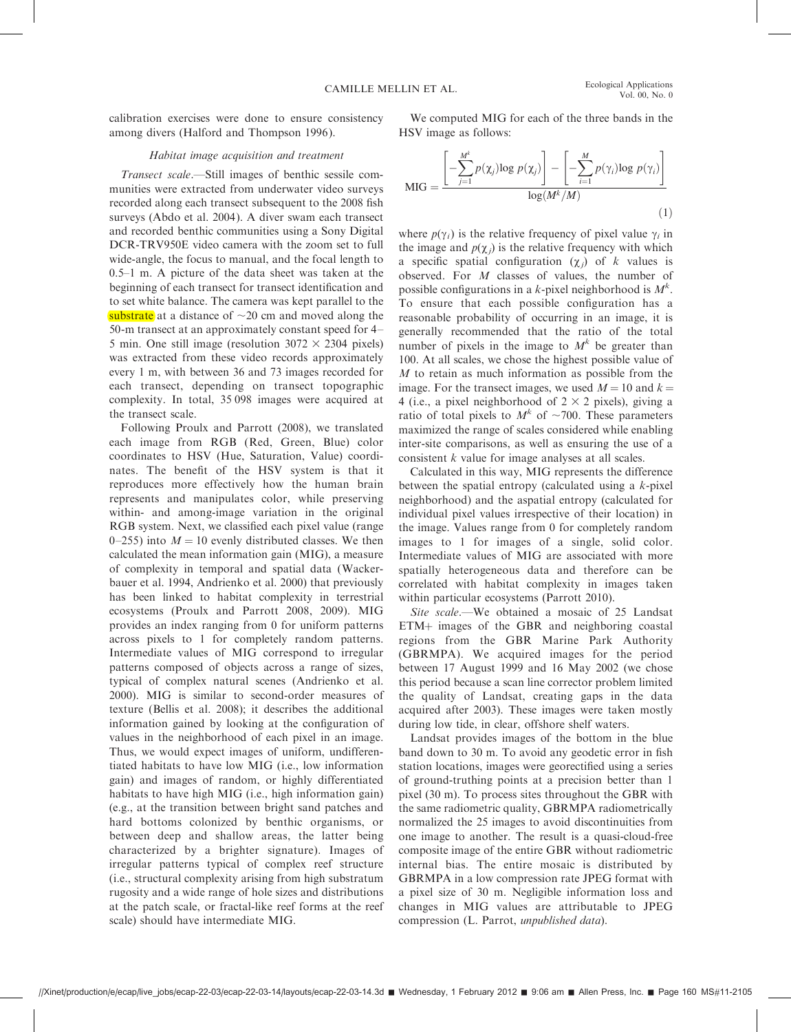calibration exercises were done to ensure consistency among divers (Halford and Thompson 1996).

We computed MIG for each of the three bands in the HSV image as follows:

# Habitat image acquisition and treatment

Transect scale.—Still images of benthic sessile communities were extracted from underwater video surveys recorded along each transect subsequent to the 2008 fish surveys (Abdo et al. 2004). A diver swam each transect and recorded benthic communities using a Sony Digital DCR-TRV950E video camera with the zoom set to full wide-angle, the focus to manual, and the focal length to 0.5–1 m. A picture of the data sheet was taken at the beginning of each transect for transect identification and to set white balance. The camera was kept parallel to the substrate at a distance of  $\sim$ 20 cm and moved along the 50-m transect at an approximately constant speed for 4– 5 min. One still image (resolution  $3072 \times 2304$  pixels) was extracted from these video records approximately every 1 m, with between 36 and 73 images recorded for each transect, depending on transect topographic complexity. In total, 35 098 images were acquired at the transect scale.

Following Proulx and Parrott (2008), we translated each image from RGB (Red, Green, Blue) color coordinates to HSV (Hue, Saturation, Value) coordinates. The benefit of the HSV system is that it reproduces more effectively how the human brain represents and manipulates color, while preserving within- and among-image variation in the original RGB system. Next, we classified each pixel value (range 0–255) into  $M = 10$  evenly distributed classes. We then calculated the mean information gain (MIG), a measure of complexity in temporal and spatial data (Wackerbauer et al. 1994, Andrienko et al. 2000) that previously has been linked to habitat complexity in terrestrial ecosystems (Proulx and Parrott 2008, 2009). MIG provides an index ranging from 0 for uniform patterns across pixels to 1 for completely random patterns. Intermediate values of MIG correspond to irregular patterns composed of objects across a range of sizes, typical of complex natural scenes (Andrienko et al. 2000). MIG is similar to second-order measures of texture (Bellis et al. 2008); it describes the additional information gained by looking at the configuration of values in the neighborhood of each pixel in an image. Thus, we would expect images of uniform, undifferentiated habitats to have low MIG (i.e., low information gain) and images of random, or highly differentiated habitats to have high MIG (i.e., high information gain) (e.g., at the transition between bright sand patches and hard bottoms colonized by benthic organisms, or between deep and shallow areas, the latter being characterized by a brighter signature). Images of irregular patterns typical of complex reef structure (i.e., structural complexity arising from high substratum rugosity and a wide range of hole sizes and distributions at the patch scale, or fractal-like reef forms at the reef scale) should have intermediate MIG.

 $\left[\begin{array}{ccc} M^k & & \\ \sum_{k=1}^M & \lambda_k & \lambda_k \end{array}\right]$  $\stackrel{M}{\longrightarrow}$  $\begin{bmatrix} M & & & \end{bmatrix}$ 

$$
MIG = \frac{\left[-\sum_{j=1} p(\chi_j) \log p(\chi_j)\right] - \left[-\sum_{i=1} p(\gamma_i) \log p(\gamma_i)\right]}{\log(M^k/M)}\tag{1}
$$

where  $p(\gamma_i)$  is the relative frequency of pixel value  $\gamma_i$  in the image and  $p(\gamma_i)$  is the relative frequency with which a specific spatial configuration  $(\chi_i)$  of k values is observed. For M classes of values, the number of possible configurations in a k-pixel neighborhood is  $M^k$ . To ensure that each possible configuration has a reasonable probability of occurring in an image, it is generally recommended that the ratio of the total number of pixels in the image to  $M^k$  be greater than 100. At all scales, we chose the highest possible value of  $M$  to retain as much information as possible from the image. For the transect images, we used  $M = 10$  and  $k =$ 4 (i.e., a pixel neighborhood of  $2 \times 2$  pixels), giving a ratio of total pixels to  $M^k$  of ~700. These parameters maximized the range of scales considered while enabling inter-site comparisons, as well as ensuring the use of a consistent k value for image analyses at all scales.

Calculated in this way, MIG represents the difference between the spatial entropy (calculated using a k-pixel neighborhood) and the aspatial entropy (calculated for individual pixel values irrespective of their location) in the image. Values range from 0 for completely random images to 1 for images of a single, solid color. Intermediate values of MIG are associated with more spatially heterogeneous data and therefore can be correlated with habitat complexity in images taken within particular ecosystems (Parrott 2010).

Site scale.—We obtained a mosaic of 25 Landsat  $ETM+$  images of the GBR and neighboring coastal regions from the GBR Marine Park Authority (GBRMPA). We acquired images for the period between 17 August 1999 and 16 May 2002 (we chose this period because a scan line corrector problem limited the quality of Landsat, creating gaps in the data acquired after 2003). These images were taken mostly during low tide, in clear, offshore shelf waters.

Landsat provides images of the bottom in the blue band down to 30 m. To avoid any geodetic error in fish station locations, images were georectified using a series of ground-truthing points at a precision better than 1 pixel (30 m). To process sites throughout the GBR with the same radiometric quality, GBRMPA radiometrically normalized the 25 images to avoid discontinuities from one image to another. The result is a quasi-cloud-free composite image of the entire GBR without radiometric internal bias. The entire mosaic is distributed by GBRMPA in a low compression rate JPEG format with a pixel size of 30 m. Negligible information loss and changes in MIG values are attributable to JPEG compression (L. Parrot, unpublished data).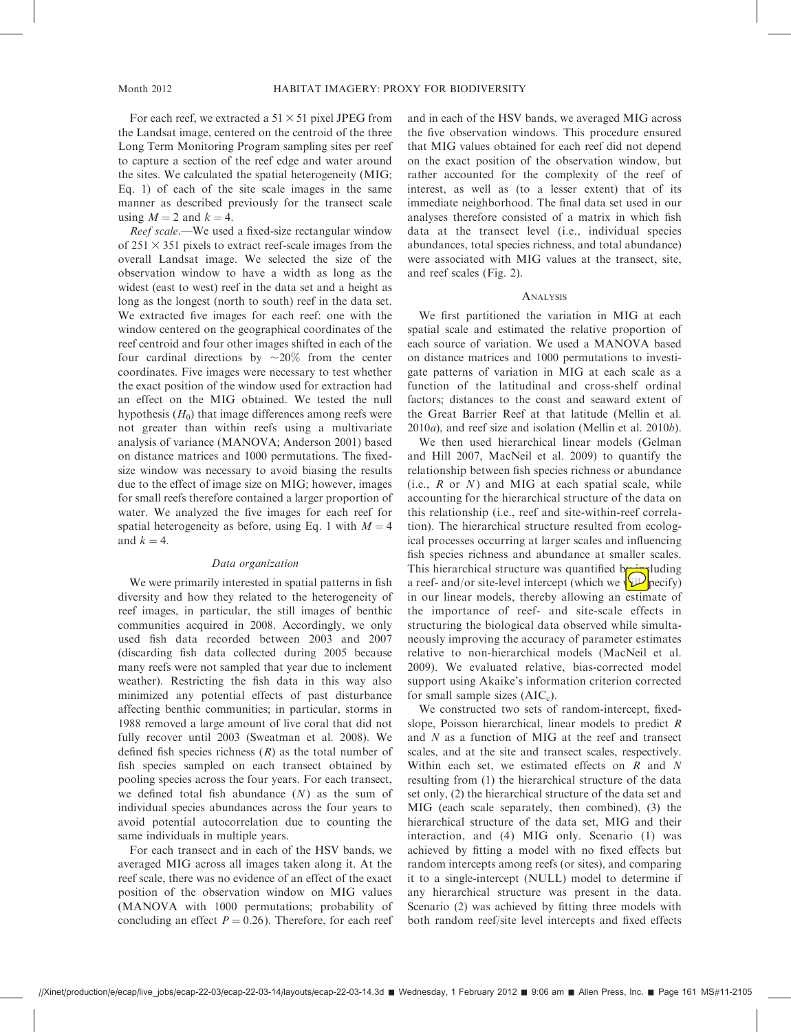For each reef, we extracted a  $51 \times 51$  pixel JPEG from the Landsat image, centered on the centroid of the three Long Term Monitoring Program sampling sites per reef to capture a section of the reef edge and water around the sites. We calculated the spatial heterogeneity (MIG; Eq. 1) of each of the site scale images in the same manner as described previously for the transect scale using  $M = 2$  and  $k = 4$ .

Reef scale.—We used a fixed-size rectangular window of  $251 \times 351$  pixels to extract reef-scale images from the overall Landsat image. We selected the size of the observation window to have a width as long as the widest (east to west) reef in the data set and a height as long as the longest (north to south) reef in the data set. We extracted five images for each reef: one with the window centered on the geographical coordinates of the reef centroid and four other images shifted in each of the four cardinal directions by  $\sim 20\%$  from the center coordinates. Five images were necessary to test whether the exact position of the window used for extraction had an effect on the MIG obtained. We tested the null hypothesis  $(H_0)$  that image differences among reefs were not greater than within reefs using a multivariate analysis of variance (MANOVA; Anderson 2001) based on distance matrices and 1000 permutations. The fixedsize window was necessary to avoid biasing the results due to the effect of image size on MIG; however, images for small reefs therefore contained a larger proportion of water. We analyzed the five images for each reef for spatial heterogeneity as before, using Eq. 1 with  $M = 4$ and  $k = 4$ .

## Data organization

We were primarily interested in spatial patterns in fish diversity and how they related to the heterogeneity of reef images, in particular, the still images of benthic communities acquired in 2008. Accordingly, we only used fish data recorded between 2003 and 2007 (discarding fish data collected during 2005 because many reefs were not sampled that year due to inclement weather). Restricting the fish data in this way also minimized any potential effects of past disturbance affecting benthic communities; in particular, storms in 1988 removed a large amount of live coral that did not fully recover until 2003 (Sweatman et al. 2008). We defined fish species richness  $(R)$  as the total number of fish species sampled on each transect obtained by pooling species across the four years. For each transect, we defined total fish abundance  $(N)$  as the sum of individual species abundances across the four years to avoid potential autocorrelation due to counting the same individuals in multiple years.

For each transect and in each of the HSV bands, we averaged MIG across all images taken along it. At the reef scale, there was no evidence of an effect of the exact position of the observation window on MIG values (MANOVA with 1000 permutations; probability of concluding an effect  $P = 0.26$ ). Therefore, for each reef

and in each of the HSV bands, we averaged MIG across the five observation windows. This procedure ensured that MIG values obtained for each reef did not depend on the exact position of the observation window, but rather accounted for the complexity of the reef of interest, as well as (to a lesser extent) that of its immediate neighborhood. The final data set used in our analyses therefore consisted of a matrix in which fish data at the transect level (i.e., individual species abundances, total species richness, and total abundance) were associated with MIG values at the transect, site, and reef scales (Fig. 2).

#### **ANALYSIS**

We first partitioned the variation in MIG at each spatial scale and estimated the relative proportion of each source of variation. We used a MANOVA based on distance matrices and 1000 permutations to investigate patterns of variation in MIG at each scale as a function of the latitudinal and cross-shelf ordinal factors; distances to the coast and seaward extent of the Great Barrier Reef at that latitude (Mellin et al. 2010a), and reef size and isolation (Mellin et al. 2010b).

We then used hierarchical linear models (Gelman and Hill 2007, MacNeil et al. 2009) to quantify the relationship between fish species richness or abundance (i.e.,  $R$  or  $N$ ) and MIG at each spatial scale, while accounting for the hierarchical structure of the data on this relationship (i.e., reef and site-within-reef correlation). The hierarchical structure resulted from ecological processes occurring at larger scales and influencing fish species richness and abundance at smaller scales. This hierarchical structure was quantified by including a reef- and/or site-level intercept (which we  $\sqrt{\mathcal{V}^2}$  pecify) in our linear models, thereby allowing an estimate of the importance of reef- and site-scale effects in structuring the biological data observed while simultaneously improving the accuracy of parameter estimates relative to non-hierarchical models (MacNeil et al. 2009). We evaluated relative, bias-corrected model support using Akaike's information criterion corrected for small sample sizes  $(AIC<sub>c</sub>)$ .

We constructed two sets of random-intercept, fixedslope, Poisson hierarchical, linear models to predict R and N as a function of MIG at the reef and transect scales, and at the site and transect scales, respectively. Within each set, we estimated effects on  $R$  and  $N$ resulting from (1) the hierarchical structure of the data set only, (2) the hierarchical structure of the data set and MIG (each scale separately, then combined), (3) the hierarchical structure of the data set, MIG and their interaction, and (4) MIG only. Scenario (1) was achieved by fitting a model with no fixed effects but random intercepts among reefs (or sites), and comparing it to a single-intercept (NULL) model to determine if any hierarchical structure was present in the data. Scenario (2) was achieved by fitting three models with both random reef/site level intercepts and fixed effects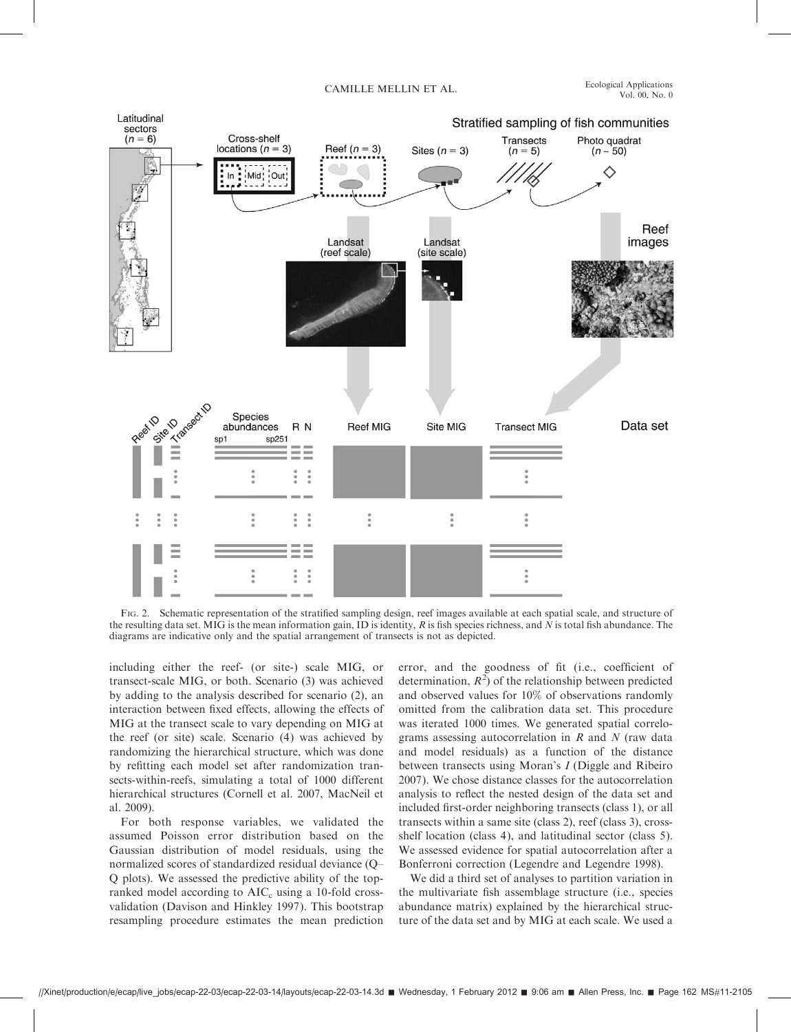CAMILLE MELLIN ET AL. Ecological Applications

Vol. 00, No. 0



FIG. 2. Schematic representation of the stratified sampling design, reef images available at each spatial scale, and structure of the resulting data set. MIG is the mean information gain, ID is identity,  $R$  is fish species richness, and  $N$  is total fish abundance. The diagrams are indicative only and the spatial arrangement of transects is not as depicted.

including either the reef- (or site-) scale MIG, or transect-scale MIG, or both. Scenario (3) was achieved by adding to the analysis described for scenario (2), an interaction between fixed effects, allowing the effects of MIG at the transect scale to vary depending on MIG at the reef (or site) scale. Scenario (4) was achieved by randomizing the hierarchical structure, which was done by refitting each model set after randomization transects-within-reefs, simulating a total of 1000 different hierarchical structures (Cornell et al. 2007, MacNeil et al. 2009).

For both response variables, we validated the assumed Poisson error distribution based on the Gaussian distribution of model residuals, using the normalized scores of standardized residual deviance (Q– Q plots). We assessed the predictive ability of the topranked model according to AIC<sub>c</sub> using a 10-fold crossvalidation (Davison and Hinkley 1997). This bootstrap resampling procedure estimates the mean prediction error, and the goodness of fit (i.e., coefficient of determination,  $R^2$ ) of the relationship between predicted and observed values for 10% of observations randomly omitted from the calibration data set. This procedure was iterated 1000 times. We generated spatial correlograms assessing autocorrelation in  $R$  and  $N$  (raw data and model residuals) as a function of the distance between transects using Moran's I (Diggle and Ribeiro 2007). We chose distance classes for the autocorrelation analysis to reflect the nested design of the data set and included first-order neighboring transects (class 1), or all transects within a same site (class 2), reef (class 3), crossshelf location (class 4), and latitudinal sector (class 5). We assessed evidence for spatial autocorrelation after a Bonferroni correction (Legendre and Legendre 1998).

We did a third set of analyses to partition variation in the multivariate fish assemblage structure (i.e., species abundance matrix) explained by the hierarchical structure of the data set and by MIG at each scale. We used a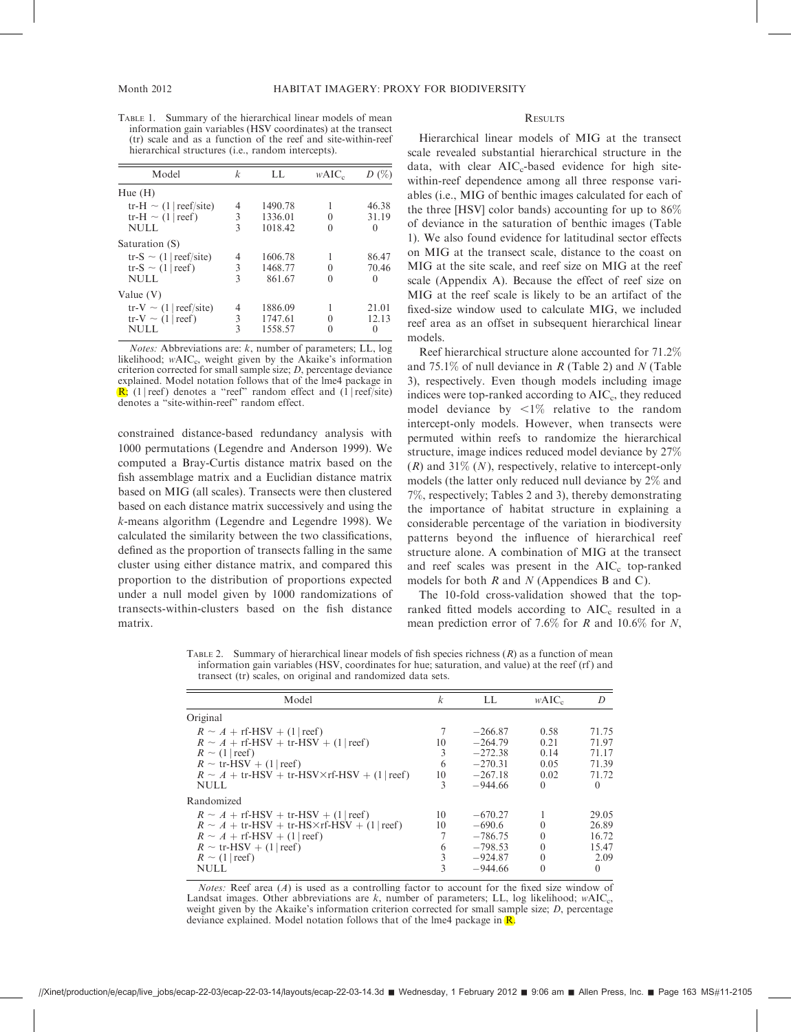| hierarchical structures (i.e., random intercepts). |                |         |          |          |  |  |  |  |
|----------------------------------------------------|----------------|---------|----------|----------|--|--|--|--|
| Model                                              | k              | LL      | $wAIC_c$ | $D(\%)$  |  |  |  |  |
| Hue $(H)$                                          |                |         |          |          |  |  |  |  |
| tr-H $\sim$ (1   reef/site)                        | 4              | 1490.78 |          | 46.38    |  |  |  |  |
| tr-H $\sim$ (1   reef)                             | $\mathfrak{Z}$ | 1336.01 | 0        | 31.19    |  |  |  |  |
| NULL                                               | $\mathcal{E}$  | 1018.42 | 0        | $\Omega$ |  |  |  |  |
| Saturation (S)                                     |                |         |          |          |  |  |  |  |
| tr-S $\sim$ (1   reef/site)                        | 4              | 1606.78 |          | 86.47    |  |  |  |  |
| tr-S $\sim$ (1   reef)                             | 3              | 1468.77 | 0        | 70.46    |  |  |  |  |
| NULL                                               | 3              | 861.67  | 0        | $\Omega$ |  |  |  |  |
| Value $(V)$                                        |                |         |          |          |  |  |  |  |
| tr-V $\sim$ (1   reef/site)                        | 4              | 1886.09 |          | 21.01    |  |  |  |  |
| tr-V $\sim$ (1   reef)                             | 3              | 1747.61 | 0        | 12.13    |  |  |  |  |
| NULL                                               | $\mathbf{3}$   | 1558.57 |          | 0        |  |  |  |  |

TABLE 1. Summary of the hierarchical linear models of mean information gain variables (HSV coordinates) at the transect (tr) scale and as a function of the reef and site-within-reef hierarchical structures (i.e., random intercepts).

*Notes:* Abbreviations are:  $k$ , number of parameters; LL,  $log$ likelihood;  $wAIC_c$ , weight given by the Akaike's information criterion corrected for small sample size; D, percentage deviance explained. Model notation follows that of the lme4 package in  $\overline{R}$ ; (1 | reef) denotes a "reef" random effect and (1 | reef/site) denotes a ''site-within-reef'' random effect.

constrained distance-based redundancy analysis with 1000 permutations (Legendre and Anderson 1999). We computed a Bray-Curtis distance matrix based on the fish assemblage matrix and a Euclidian distance matrix based on MIG (all scales). Transects were then clustered based on each distance matrix successively and using the k-means algorithm (Legendre and Legendre 1998). We calculated the similarity between the two classifications, defined as the proportion of transects falling in the same cluster using either distance matrix, and compared this proportion to the distribution of proportions expected under a null model given by 1000 randomizations of transects-within-clusters based on the fish distance matrix.

## **RESULTS**

Hierarchical linear models of MIG at the transect scale revealed substantial hierarchical structure in the data, with clear  $AIC<sub>c</sub>$ -based evidence for high sitewithin-reef dependence among all three response variables (i.e., MIG of benthic images calculated for each of the three [HSV] color bands) accounting for up to 86% of deviance in the saturation of benthic images (Table 1). We also found evidence for latitudinal sector effects on MIG at the transect scale, distance to the coast on MIG at the site scale, and reef size on MIG at the reef scale (Appendix A). Because the effect of reef size on MIG at the reef scale is likely to be an artifact of the fixed-size window used to calculate MIG, we included reef area as an offset in subsequent hierarchical linear models.

Reef hierarchical structure alone accounted for 71.2% and 75.1% of null deviance in R (Table 2) and N (Table 3), respectively. Even though models including image indices were top-ranked according to  $AIC_c$ , they reduced model deviance by  $\langle 1 \rangle$  relative to the random intercept-only models. However, when transects were permuted within reefs to randomize the hierarchical structure, image indices reduced model deviance by 27%  $(R)$  and 31%  $(N)$ , respectively, relative to intercept-only models (the latter only reduced null deviance by 2% and 7%, respectively; Tables 2 and 3), thereby demonstrating the importance of habitat structure in explaining a considerable percentage of the variation in biodiversity patterns beyond the influence of hierarchical reef structure alone. A combination of MIG at the transect and reef scales was present in the  $AIC_c$  top-ranked models for both  $R$  and  $N$  (Appendices B and C).

The 10-fold cross-validation showed that the topranked fitted models according to AIC<sub>c</sub> resulted in a mean prediction error of 7.6% for R and 10.6% for N,

TABLE 2. Summary of hierarchical linear models of fish species richness  $(R)$  as a function of mean information gain variables (HSV, coordinates for hue; saturation, and value) at the reef (rf) and transect (tr) scales, on original and randomized data sets.

| k  | LL        | $wAIC_c$ | D        |
|----|-----------|----------|----------|
|    |           |          |          |
|    | $-266.87$ | 0.58     | 71.75    |
| 10 | $-264.79$ | 0.21     | 71.97    |
| 3  | $-272.38$ | 0.14     | 71.17    |
| 6  | $-270.31$ | 0.05     | 71.39    |
| 10 | $-267.18$ | 0.02     | 71.72    |
| 3  | $-944.66$ | $\theta$ | $\theta$ |
|    |           |          |          |
| 10 | $-670.27$ |          | 29.05    |
| 10 | $-690.6$  | $\theta$ | 26.89    |
|    | $-786.75$ | $\theta$ | 16.72    |
| 6  | $-798.53$ | $\theta$ | 15.47    |
|    | $-924.87$ | $\theta$ | 2.09     |
|    | $-944.66$ | $\theta$ | $\theta$ |
|    |           |          |          |

*Notes:* Reef area  $(A)$  is used as a controlling factor to account for the fixed size window of Landsat images. Other abbreviations are k, number of parameters; LL, log likelihood;  $wAIC<sub>c</sub>$ , weight given by the Akaike's information criterion corrected for small sample size; D, percentage deviance explained. Model notation follows that of the lme4 package in R.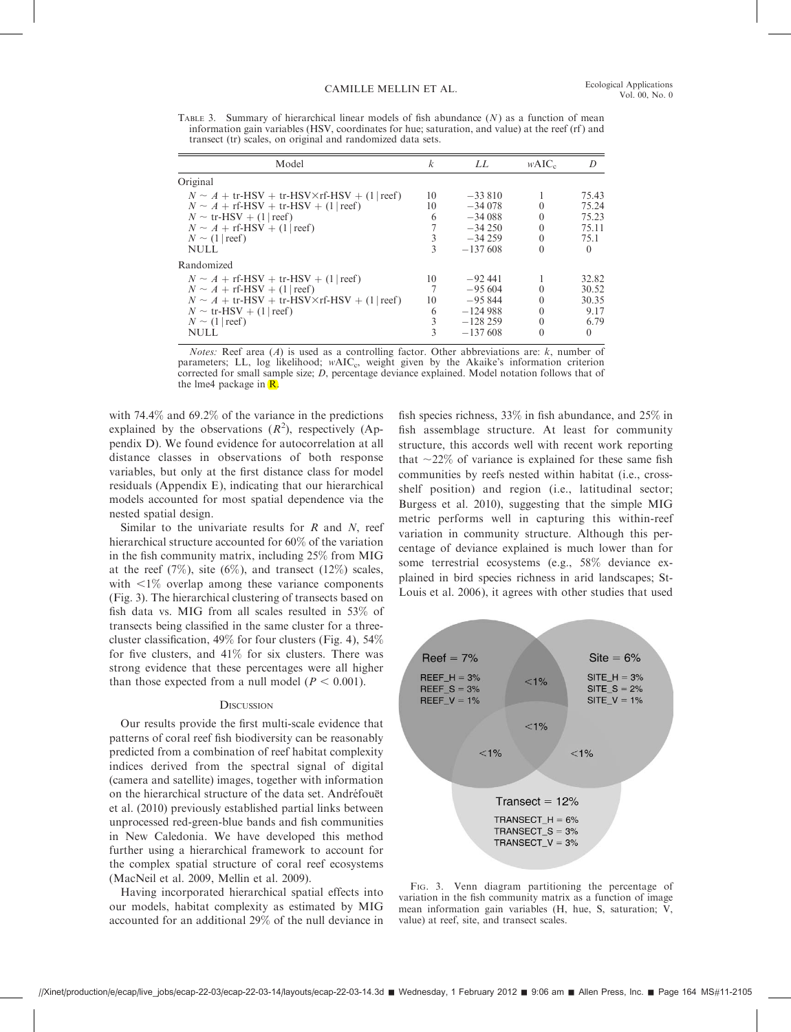TABLE 3. Summary of hierarchical linear models of fish abundance  $(N)$  as a function of mean information gain variables (HSV, coordinates for hue; saturation, and value) at the reef (rf) and transect (tr) scales, on original and randomized data sets.

| Model                                                     | k  | LL.       | $wAIC_c$ | D        |
|-----------------------------------------------------------|----|-----------|----------|----------|
| Original                                                  |    |           |          |          |
| $N \sim A$ + tr-HSV + tr-HSV×rf-HSV + (1   reef)          | 10 | $-33810$  |          | 75.43    |
| $N \sim A$ + rf-HSV + tr-HSV + (1   reef)                 | 10 | $-34078$  |          | 75.24    |
| $N \sim$ tr-HSV + (1   reef)                              | 6  | $-34088$  |          | 75.23    |
| $N \sim A$ + rf-HSV + (1   reef)                          |    | $-34250$  |          | 75.11    |
| $N \sim (1   \text{reef})$                                |    | $-34259$  |          | 75.1     |
| NULL                                                      |    | $-137608$ | $\Omega$ | $\Omega$ |
| Randomized                                                |    |           |          |          |
| $N \sim A$ + rf-HSV + tr-HSV + (1   reef)                 | 10 | $-92,441$ |          | 32.82    |
| $N \sim A$ + rf-HSV + (1   reef)                          |    | $-95604$  |          | 30.52    |
| $N \sim A$ + tr-HSV + tr-HSV $\times$ rf-HSV + (1   reef) | 10 | $-95844$  |          | 30.35    |
| $N \sim$ tr-HSV + (1   reef)                              | 6  | $-124988$ |          | 9.17     |
| $N \sim (1   \text{reef})$                                |    | $-128259$ |          | 6.79     |
| NULL                                                      |    | $-137608$ |          | $\theta$ |

Notes: Reef area  $(A)$  is used as a controlling factor. Other abbreviations are:  $k$ , number of parameters; LL, log likelihood; wAICc, weight given by the Akaike's information criterion corrected for small sample size; D, percentage deviance explained. Model notation follows that of the lme4 package in R.

with 74.4% and 69.2% of the variance in the predictions explained by the observations  $(R^2)$ , respectively (Appendix D). We found evidence for autocorrelation at all distance classes in observations of both response variables, but only at the first distance class for model residuals (Appendix E), indicating that our hierarchical models accounted for most spatial dependence via the nested spatial design.

Similar to the univariate results for  $R$  and  $N$ , reef hierarchical structure accounted for 60% of the variation in the fish community matrix, including 25% from MIG at the reef  $(7\%)$ , site  $(6\%)$ , and transect  $(12\%)$  scales, with  $\langle 1\%$  overlap among these variance components (Fig. 3). The hierarchical clustering of transects based on fish data vs. MIG from all scales resulted in 53% of transects being classified in the same cluster for a threecluster classification, 49% for four clusters (Fig. 4), 54% for five clusters, and 41% for six clusters. There was strong evidence that these percentages were all higher than those expected from a null model ( $P < 0.001$ ).

#### **DISCUSSION**

Our results provide the first multi-scale evidence that patterns of coral reef fish biodiversity can be reasonably predicted from a combination of reef habitat complexity indices derived from the spectral signal of digital (camera and satellite) images, together with information on the hierarchical structure of the data set. Andréfouët et al. (2010) previously established partial links between unprocessed red-green-blue bands and fish communities in New Caledonia. We have developed this method further using a hierarchical framework to account for the complex spatial structure of coral reef ecosystems (MacNeil et al. 2009, Mellin et al. 2009).

Having incorporated hierarchical spatial effects into our models, habitat complexity as estimated by MIG accounted for an additional 29% of the null deviance in fish species richness, 33% in fish abundance, and 25% in fish assemblage structure. At least for community structure, this accords well with recent work reporting that  $\sim$ 22% of variance is explained for these same fish communities by reefs nested within habitat (i.e., crossshelf position) and region (i.e., latitudinal sector; Burgess et al. 2010), suggesting that the simple MIG metric performs well in capturing this within-reef variation in community structure. Although this percentage of deviance explained is much lower than for some terrestrial ecosystems (e.g., 58% deviance explained in bird species richness in arid landscapes; St-Louis et al. 2006), it agrees with other studies that used



FIG. 3. Venn diagram partitioning the percentage of variation in the fish community matrix as a function of image mean information gain variables (H, hue, S, saturation; V, value) at reef, site, and transect scales.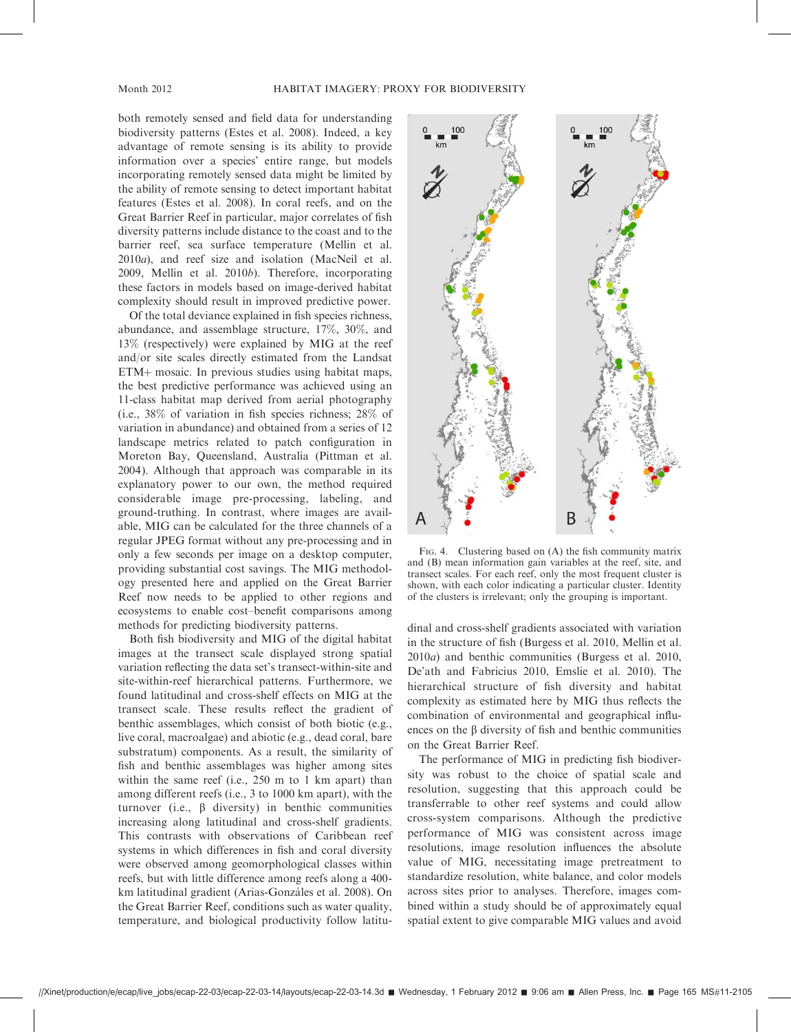Month 2012 HABITAT IMAGERY: PROXY FOR BIODIVERSITY

both remotely sensed and field data for understanding biodiversity patterns (Estes et al. 2008). Indeed, a key advantage of remote sensing is its ability to provide information over a species' entire range, but models incorporating remotely sensed data might be limited by the ability of remote sensing to detect important habitat features (Estes et al. 2008). In coral reefs, and on the Great Barrier Reef in particular, major correlates of fish diversity patterns include distance to the coast and to the barrier reef, sea surface temperature (Mellin et al. 2010a), and reef size and isolation (MacNeil et al. 2009, Mellin et al. 2010b). Therefore, incorporating these factors in models based on image-derived habitat complexity should result in improved predictive power.

Of the total deviance explained in fish species richness, abundance, and assemblage structure, 17%, 30%, and 13% (respectively) were explained by MIG at the reef and/or site scales directly estimated from the Landsat  $ETM$  mosaic. In previous studies using habitat maps, the best predictive performance was achieved using an 11-class habitat map derived from aerial photography (i.e., 38% of variation in fish species richness; 28% of variation in abundance) and obtained from a series of 12 landscape metrics related to patch configuration in Moreton Bay, Queensland, Australia (Pittman et al. 2004). Although that approach was comparable in its explanatory power to our own, the method required considerable image pre-processing, labeling, and ground-truthing. In contrast, where images are available, MIG can be calculated for the three channels of a regular JPEG format without any pre-processing and in only a few seconds per image on a desktop computer, providing substantial cost savings. The MIG methodology presented here and applied on the Great Barrier Reef now needs to be applied to other regions and ecosystems to enable cost–benefit comparisons among methods for predicting biodiversity patterns.

Both fish biodiversity and MIG of the digital habitat images at the transect scale displayed strong spatial variation reflecting the data set's transect-within-site and site-within-reef hierarchical patterns. Furthermore, we found latitudinal and cross-shelf effects on MIG at the transect scale. These results reflect the gradient of benthic assemblages, which consist of both biotic (e.g., live coral, macroalgae) and abiotic (e.g., dead coral, bare substratum) components. As a result, the similarity of fish and benthic assemblages was higher among sites within the same reef (i.e., 250 m to 1 km apart) than among different reefs (i.e., 3 to 1000 km apart), with the turnover (i.e.,  $\beta$  diversity) in benthic communities increasing along latitudinal and cross-shelf gradients. This contrasts with observations of Caribbean reef systems in which differences in fish and coral diversity were observed among geomorphological classes within reefs, but with little difference among reefs along a 400 km latitudinal gradient (Arias-Gonzáles et al. 2008). On the Great Barrier Reef, conditions such as water quality, temperature, and biological productivity follow latitu-



FIG. 4. Clustering based on (A) the fish community matrix and (B) mean information gain variables at the reef, site, and transect scales. For each reef, only the most frequent cluster is shown, with each color indicating a particular cluster. Identity of the clusters is irrelevant; only the grouping is important.

dinal and cross-shelf gradients associated with variation in the structure of fish (Burgess et al. 2010, Mellin et al. 2010a) and benthic communities (Burgess et al. 2010, De'ath and Fabricius 2010, Emslie et al. 2010). The hierarchical structure of fish diversity and habitat complexity as estimated here by MIG thus reflects the combination of environmental and geographical influences on the  $\beta$  diversity of fish and benthic communities on the Great Barrier Reef.

The performance of MIG in predicting fish biodiversity was robust to the choice of spatial scale and resolution, suggesting that this approach could be transferrable to other reef systems and could allow cross-system comparisons. Although the predictive performance of MIG was consistent across image resolutions, image resolution influences the absolute value of MIG, necessitating image pretreatment to standardize resolution, white balance, and color models across sites prior to analyses. Therefore, images combined within a study should be of approximately equal spatial extent to give comparable MIG values and avoid

//Xinet/production/e/ecap/live\_jobs/ecap-22-03/ecap-22-03-14/layouts/ecap-22-03-14.3d ■ Wednesday, 1 February 2012 ■ 9:06 am ■ Allen Press, Inc. ■ Page 165 MS#11-2105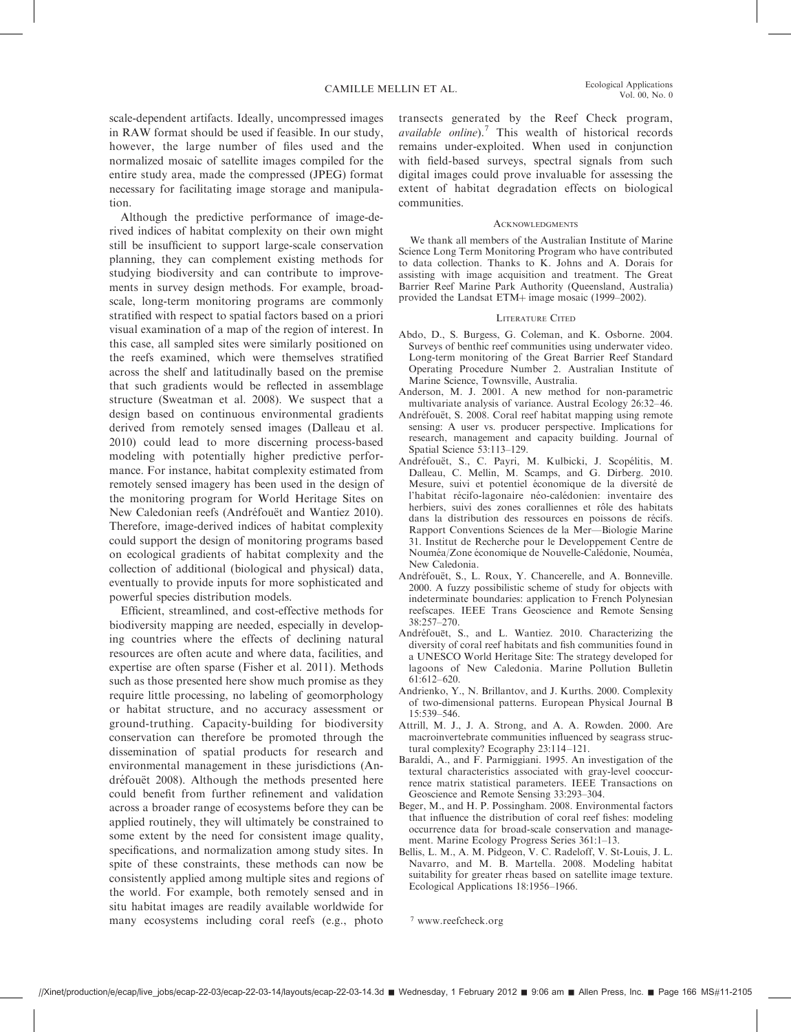scale-dependent artifacts. Ideally, uncompressed images in RAW format should be used if feasible. In our study, however, the large number of files used and the normalized mosaic of satellite images compiled for the entire study area, made the compressed (JPEG) format necessary for facilitating image storage and manipulation.

Although the predictive performance of image-derived indices of habitat complexity on their own might still be insufficient to support large-scale conservation planning, they can complement existing methods for studying biodiversity and can contribute to improvements in survey design methods. For example, broadscale, long-term monitoring programs are commonly stratified with respect to spatial factors based on a priori visual examination of a map of the region of interest. In this case, all sampled sites were similarly positioned on the reefs examined, which were themselves stratified across the shelf and latitudinally based on the premise that such gradients would be reflected in assemblage structure (Sweatman et al. 2008). We suspect that a design based on continuous environmental gradients derived from remotely sensed images (Dalleau et al. 2010) could lead to more discerning process-based modeling with potentially higher predictive performance. For instance, habitat complexity estimated from remotely sensed imagery has been used in the design of the monitoring program for World Heritage Sites on New Caledonian reefs (Andréfouët and Wantiez 2010). Therefore, image-derived indices of habitat complexity could support the design of monitoring programs based on ecological gradients of habitat complexity and the collection of additional (biological and physical) data, eventually to provide inputs for more sophisticated and powerful species distribution models.

Efficient, streamlined, and cost-effective methods for biodiversity mapping are needed, especially in developing countries where the effects of declining natural resources are often acute and where data, facilities, and expertise are often sparse (Fisher et al. 2011). Methods such as those presented here show much promise as they require little processing, no labeling of geomorphology or habitat structure, and no accuracy assessment or ground-truthing. Capacity-building for biodiversity conservation can therefore be promoted through the dissemination of spatial products for research and environmental management in these jurisdictions (Andréfouët 2008). Although the methods presented here could benefit from further refinement and validation across a broader range of ecosystems before they can be applied routinely, they will ultimately be constrained to some extent by the need for consistent image quality, specifications, and normalization among study sites. In spite of these constraints, these methods can now be consistently applied among multiple sites and regions of the world. For example, both remotely sensed and in situ habitat images are readily available worldwide for many ecosystems including coral reefs (e.g., photo transects generated by the Reef Check program, available online).<sup>7</sup> This wealth of historical records remains under-exploited. When used in conjunction with field-based surveys, spectral signals from such digital images could prove invaluable for assessing the extent of habitat degradation effects on biological communities.

#### **ACKNOWLEDGMENTS**

We thank all members of the Australian Institute of Marine Science Long Term Monitoring Program who have contributed to data collection. Thanks to K. Johns and A. Dorais for assisting with image acquisition and treatment. The Great Barrier Reef Marine Park Authority (Queensland, Australia) provided the Landsat ETM+ image mosaic (1999–2002).

#### LITERATURE CITED

- Abdo, D., S. Burgess, G. Coleman, and K. Osborne. 2004. Surveys of benthic reef communities using underwater video. Long-term monitoring of the Great Barrier Reef Standard Operating Procedure Number 2. Australian Institute of Marine Science, Townsville, Australia.
- Anderson, M. J. 2001. A new method for non-parametric multivariate analysis of variance. Austral Ecology 26:32–46.
- Andréfouët, S. 2008. Coral reef habitat mapping using remote sensing: A user vs. producer perspective. Implications for research, management and capacity building. Journal of Spatial Science 53:113–129.
- Andréfouët, S., C. Payri, M. Kulbicki, J. Scopélitis, M. Dalleau, C. Mellin, M. Scamps, and G. Dirberg. 2010. Mesure, suivi et potentiel économique de la diversité de l'habitat récifo-lagonaire néo-calédonien: inventaire des herbiers, suivi des zones coralliennes et rôle des habitats dans la distribution des ressources en poissons de récifs. Rapport Conventions Sciences de la Mer—Biologie Marine 31. Institut de Recherche pour le Developpement Centre de Nouméa/Zone économique de Nouvelle-Calédonie, Nouméa, New Caledonia.
- Andréfouët, S., L. Roux, Y. Chancerelle, and A. Bonneville. 2000. A fuzzy possibilistic scheme of study for objects with indeterminate boundaries: application to French Polynesian reefscapes. IEEE Trans Geoscience and Remote Sensing 38:257–270.
- Andréfouët, S., and L. Wantiez. 2010. Characterizing the diversity of coral reef habitats and fish communities found in a UNESCO World Heritage Site: The strategy developed for lagoons of New Caledonia. Marine Pollution Bulletin 61:612–620.
- Andrienko, Y., N. Brillantov, and J. Kurths. 2000. Complexity of two-dimensional patterns. European Physical Journal B 15:539–546.
- Attrill, M. J., J. A. Strong, and A. A. Rowden. 2000. Are macroinvertebrate communities influenced by seagrass structural complexity? Ecography 23:114–121.
- Baraldi, A., and F. Parmiggiani. 1995. An investigation of the textural characteristics associated with gray-level cooccurrence matrix statistical parameters. IEEE Transactions on Geoscience and Remote Sensing 33:293–304.
- Beger, M., and H. P. Possingham. 2008. Environmental factors that influence the distribution of coral reef fishes: modeling occurrence data for broad-scale conservation and management. Marine Ecology Progress Series 361:1–13.
- Bellis, L. M., A. M. Pidgeon, V. C. Radeloff, V. St-Louis, J. L. Navarro, and M. B. Martella. 2008. Modeling habitat suitability for greater rheas based on satellite image texture. Ecological Applications 18:1956–1966.

<sup>7</sup> www.reefcheck.org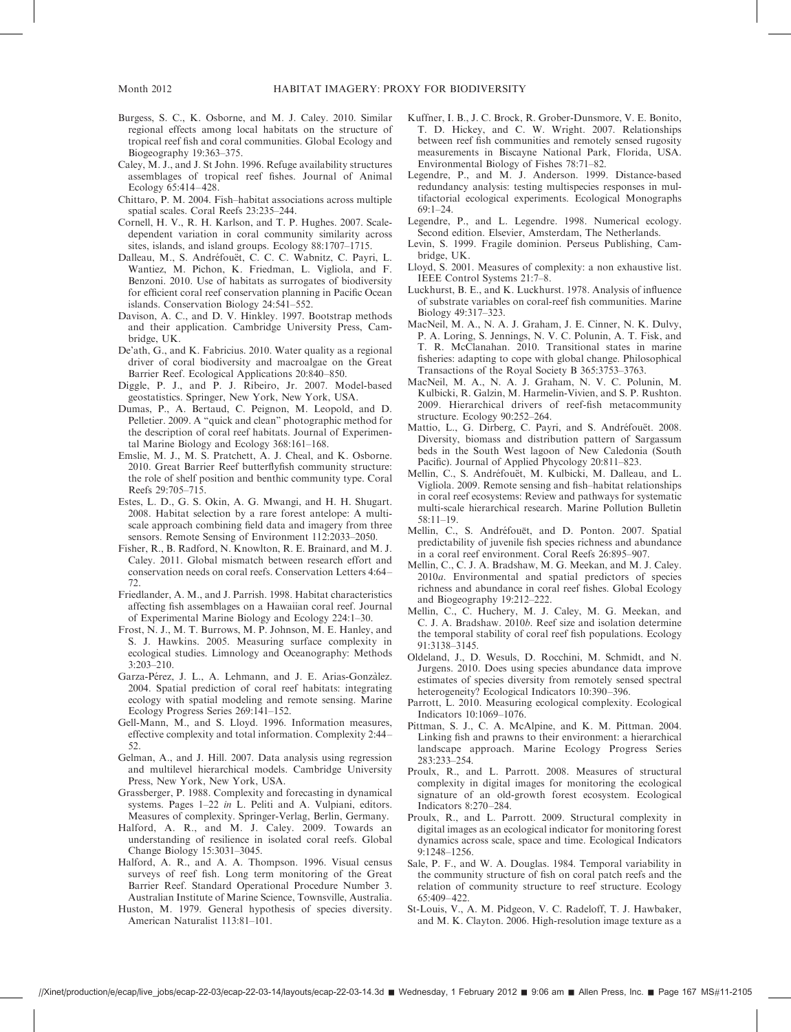- Burgess, S. C., K. Osborne, and M. J. Caley. 2010. Similar regional effects among local habitats on the structure of tropical reef fish and coral communities. Global Ecology and Biogeography 19:363–375.
- Caley, M. J., and J. St John. 1996. Refuge availability structures assemblages of tropical reef fishes. Journal of Animal Ecology 65:414–428.
- Chittaro, P. M. 2004. Fish–habitat associations across multiple spatial scales. Coral Reefs 23:235–244.
- Cornell, H. V., R. H. Karlson, and T. P. Hughes. 2007. Scaledependent variation in coral community similarity across sites, islands, and island groups. Ecology 88:1707–1715.
- Dalleau, M., S. Andréfouët, C. C. C. Wabnitz, C. Payri, L. Wantiez, M. Pichon, K. Friedman, L. Vigliola, and F. Benzoni. 2010. Use of habitats as surrogates of biodiversity for efficient coral reef conservation planning in Pacific Ocean islands. Conservation Biology 24:541–552.
- Davison, A. C., and D. V. Hinkley. 1997. Bootstrap methods and their application. Cambridge University Press, Cambridge, UK.
- De'ath, G., and K. Fabricius. 2010. Water quality as a regional driver of coral biodiversity and macroalgae on the Great Barrier Reef. Ecological Applications 20:840–850.
- Diggle, P. J., and P. J. Ribeiro, Jr. 2007. Model-based geostatistics. Springer, New York, New York, USA.
- Dumas, P., A. Bertaud, C. Peignon, M. Leopold, and D. Pelletier. 2009. A ''quick and clean'' photographic method for the description of coral reef habitats. Journal of Experimental Marine Biology and Ecology 368:161–168.
- Emslie, M. J., M. S. Pratchett, A. J. Cheal, and K. Osborne. 2010. Great Barrier Reef butterflyfish community structure: the role of shelf position and benthic community type. Coral Reefs 29:705–715.
- Estes, L. D., G. S. Okin, A. G. Mwangi, and H. H. Shugart. 2008. Habitat selection by a rare forest antelope: A multiscale approach combining field data and imagery from three sensors. Remote Sensing of Environment 112:2033–2050.
- Fisher, R., B. Radford, N. Knowlton, R. E. Brainard, and M. J. Caley. 2011. Global mismatch between research effort and conservation needs on coral reefs. Conservation Letters 4:64– 72.
- Friedlander, A. M., and J. Parrish. 1998. Habitat characteristics affecting fish assemblages on a Hawaiian coral reef. Journal of Experimental Marine Biology and Ecology 224:1–30.
- Frost, N. J., M. T. Burrows, M. P. Johnson, M. E. Hanley, and S. J. Hawkins. 2005. Measuring surface complexity in ecological studies. Limnology and Oceanography: Methods 3:203–210.
- Garza-Pérez, J. L., A. Lehmann, and J. E. Arias-Gonzàlez. 2004. Spatial prediction of coral reef habitats: integrating ecology with spatial modeling and remote sensing. Marine Ecology Progress Series 269:141–152.
- Gell-Mann, M., and S. Lloyd. 1996. Information measures, effective complexity and total information. Complexity 2:44– 52.
- Gelman, A., and J. Hill. 2007. Data analysis using regression and multilevel hierarchical models. Cambridge University Press, New York, New York, USA.
- Grassberger, P. 1988. Complexity and forecasting in dynamical systems. Pages 1-22 in L. Peliti and A. Vulpiani, editors. Measures of complexity. Springer-Verlag, Berlin, Germany.
- Halford, A. R., and M. J. Caley. 2009. Towards an understanding of resilience in isolated coral reefs. Global Change Biology 15:3031–3045.
- Halford, A. R., and A. A. Thompson. 1996. Visual census surveys of reef fish. Long term monitoring of the Great Barrier Reef. Standard Operational Procedure Number 3. Australian Institute of Marine Science, Townsville, Australia.
- Huston, M. 1979. General hypothesis of species diversity. American Naturalist 113:81–101.
- Kuffner, I. B., J. C. Brock, R. Grober-Dunsmore, V. E. Bonito, T. D. Hickey, and C. W. Wright. 2007. Relationships between reef fish communities and remotely sensed rugosity measurements in Biscayne National Park, Florida, USA. Environmental Biology of Fishes 78:71–82.
- Legendre, P., and M. J. Anderson. 1999. Distance-based redundancy analysis: testing multispecies responses in multifactorial ecological experiments. Ecological Monographs 69:1–24.
- Legendre, P., and L. Legendre. 1998. Numerical ecology. Second edition. Elsevier, Amsterdam, The Netherlands.
- Levin, S. 1999. Fragile dominion. Perseus Publishing, Cambridge, UK.
- Lloyd, S. 2001. Measures of complexity: a non exhaustive list. IEEE Control Systems 21:7–8.
- Luckhurst, B. E., and K. Luckhurst. 1978. Analysis of influence of substrate variables on coral-reef fish communities. Marine Biology 49:317–323.
- MacNeil, M. A., N. A. J. Graham, J. E. Cinner, N. K. Dulvy, P. A. Loring, S. Jennings, N. V. C. Polunin, A. T. Fisk, and T. R. McClanahan. 2010. Transitional states in marine fisheries: adapting to cope with global change. Philosophical Transactions of the Royal Society B 365:3753–3763.
- MacNeil, M. A., N. A. J. Graham, N. V. C. Polunin, M. Kulbicki, R. Galzin, M. Harmelin-Vivien, and S. P. Rushton. 2009. Hierarchical drivers of reef-fish metacommunity structure. Ecology 90:252–264.
- Mattio, L., G. Dirberg, C. Payri, and S. Andréfouët. 2008. Diversity, biomass and distribution pattern of Sargassum beds in the South West lagoon of New Caledonia (South Pacific). Journal of Applied Phycology 20:811–823.
- Mellin, C., S. Andréfouët, M. Kulbicki, M. Dalleau, and L. Vigliola. 2009. Remote sensing and fish–habitat relationships in coral reef ecosystems: Review and pathways for systematic multi-scale hierarchical research. Marine Pollution Bulletin 58:11–19.
- Mellin, C., S. Andréfouët, and D. Ponton. 2007. Spatial predictability of juvenile fish species richness and abundance in a coral reef environment. Coral Reefs 26:895–907.
- Mellin, C., C. J. A. Bradshaw, M. G. Meekan, and M. J. Caley. 2010a. Environmental and spatial predictors of species richness and abundance in coral reef fishes. Global Ecology and Biogeography 19:212–222.
- Mellin, C., C. Huchery, M. J. Caley, M. G. Meekan, and C. J. A. Bradshaw. 2010b. Reef size and isolation determine the temporal stability of coral reef fish populations. Ecology 91:3138–3145.
- Oldeland, J., D. Wesuls, D. Rocchini, M. Schmidt, and N. Jurgens. 2010. Does using species abundance data improve estimates of species diversity from remotely sensed spectral heterogeneity? Ecological Indicators 10:390–396.
- Parrott, L. 2010. Measuring ecological complexity. Ecological Indicators 10:1069–1076.
- Pittman, S. J., C. A. McAlpine, and K. M. Pittman. 2004. Linking fish and prawns to their environment: a hierarchical landscape approach. Marine Ecology Progress Series 283:233–254.
- Proulx, R., and L. Parrott. 2008. Measures of structural complexity in digital images for monitoring the ecological signature of an old-growth forest ecosystem. Ecological Indicators 8:270–284.
- Proulx, R., and L. Parrott. 2009. Structural complexity in digital images as an ecological indicator for monitoring forest dynamics across scale, space and time. Ecological Indicators 9:1248–1256.
- Sale, P. F., and W. A. Douglas. 1984. Temporal variability in the community structure of fish on coral patch reefs and the relation of community structure to reef structure. Ecology 65:409–422.
- St-Louis, V., A. M. Pidgeon, V. C. Radeloff, T. J. Hawbaker, and M. K. Clayton. 2006. High-resolution image texture as a